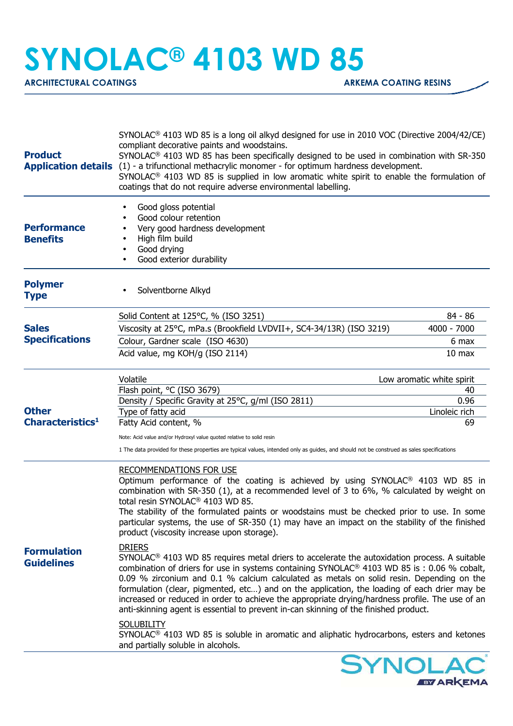## **SYNOLAC® 4103 WD 85**

ARCHITECTURAL COATINGS **ARKEMA COATING RESINS** 

| <b>Product</b>                               | SYNOLAC <sup>®</sup> 4103 WD 85 is a long oil alkyd designed for use in 2010 VOC (Directive 2004/42/CE)<br>compliant decorative paints and woodstains.<br>SYNOLAC <sup>®</sup> 4103 WD 85 has been specifically designed to be used in combination with SR-350<br>Application details (1) - a trifunctional methacrylic monomer - for optimum hardness development.<br>SYNOLAC <sup>®</sup> 4103 WD 85 is supplied in low aromatic white spirit to enable the formulation of<br>coatings that do not require adverse environmental labelling.                                                                               |                                                                |
|----------------------------------------------|-----------------------------------------------------------------------------------------------------------------------------------------------------------------------------------------------------------------------------------------------------------------------------------------------------------------------------------------------------------------------------------------------------------------------------------------------------------------------------------------------------------------------------------------------------------------------------------------------------------------------------|----------------------------------------------------------------|
| <b>Performance</b><br><b>Benefits</b>        | Good gloss potential<br>٠<br>Good colour retention<br>٠<br>Very good hardness development<br>High film build<br>Good drying<br>Good exterior durability                                                                                                                                                                                                                                                                                                                                                                                                                                                                     |                                                                |
| <b>Polymer</b><br><b>Type</b>                | Solventborne Alkyd<br>٠                                                                                                                                                                                                                                                                                                                                                                                                                                                                                                                                                                                                     |                                                                |
| <b>Sales</b><br><b>Specifications</b>        | Solid Content at 125°C, % (ISO 3251)<br>Viscosity at 25°C, mPa.s (Brookfield LVDVII+, SC4-34/13R) (ISO 3219)<br>Colour, Gardner scale (ISO 4630)<br>Acid value, mg KOH/g (ISO 2114)                                                                                                                                                                                                                                                                                                                                                                                                                                         | 84 - 86<br>4000 - 7000<br>6 max<br>10 <sub>max</sub>           |
| <b>Other</b><br>Characteristics <sup>1</sup> | Volatile<br>Flash point, °C (ISO 3679)<br>Density / Specific Gravity at 25°C, g/ml (ISO 2811)<br>Type of fatty acid<br>Fatty Acid content, %<br>Note: Acid value and/or Hydroxyl value quoted relative to solid resin<br>1 The data provided for these properties are typical values, intended only as guides, and should not be construed as sales specifications                                                                                                                                                                                                                                                          | Low aromatic white spirit<br>40<br>0.96<br>Linoleic rich<br>69 |
|                                              | RECOMMENDATIONS FOR USE<br>Optimum performance of the coating is achieved by using SYNOLAC <sup>®</sup> 4103 WD 85 in<br>combination with SR-350 (1), at a recommended level of 3 to 6%, % calculated by weight on<br>total resin SYNOLAC <sup>®</sup> 4103 WD 85.<br>The stability of the formulated paints or woodstains must be checked prior to use. In some<br>particular systems, the use of SR-350 (1) may have an impact on the stability of the finished<br>product (viscosity increase upon storage).                                                                                                             |                                                                |
| <b>Formulation</b><br><b>Guidelines</b>      | <b>DRIERS</b><br>SYNOLAC <sup>®</sup> 4103 WD 85 requires metal driers to accelerate the autoxidation process. A suitable<br>combination of driers for use in systems containing SYNOLAC <sup>®</sup> 4103 WD 85 is : 0.06 % cobalt,<br>0.09 % zirconium and 0.1 % calcium calculated as metals on solid resin. Depending on the<br>formulation (clear, pigmented, etc) and on the application, the loading of each drier may be<br>increased or reduced in order to achieve the appropriate drying/hardness profile. The use of an<br>anti-skinning agent is essential to prevent in-can skinning of the finished product. |                                                                |
|                                              | <b>SOLUBILITY</b><br>SYNOLAC <sup>®</sup> 4103 WD 85 is soluble in aromatic and aliphatic hydrocarbons, esters and ketones<br>and partially soluble in alcohols.                                                                                                                                                                                                                                                                                                                                                                                                                                                            |                                                                |